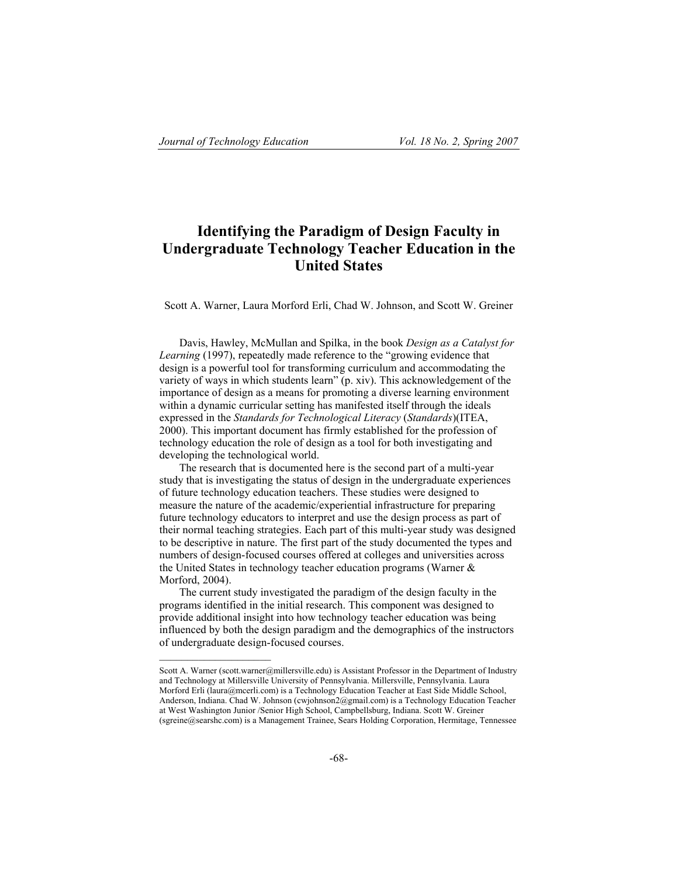# **Identifying the Paradigm of Design Faculty in Undergraduate Technology Teacher Education in the United States**

Scott A. Warner, Laura Morford Erli, Chad W. Johnson, and Scott W. Greiner

Davis, Hawley, McMullan and Spilka, in the book *Design as a Catalyst for Learning* (1997), repeatedly made reference to the "growing evidence that design is a powerful tool for transforming curriculum and accommodating the variety of ways in which students learn" (p. xiv). This acknowledgement of the importance of design as a means for promoting a diverse learning environment within a dynamic curricular setting has manifested itself through the ideals expressed in the *Standards for Technological Literacy* (*Standards*)(ITEA, 2000). This important document has firmly established for the profession of technology education the role of design as a tool for both investigating and developing the technological world.

The research that is documented here is the second part of a multi-year study that is investigating the status of design in the undergraduate experiences of future technology education teachers. These studies were designed to measure the nature of the academic/experiential infrastructure for preparing future technology educators to interpret and use the design process as part of their normal teaching strategies. Each part of this multi-year study was designed to be descriptive in nature. The first part of the study documented the types and numbers of design-focused courses offered at colleges and universities across the United States in technology teacher education programs (Warner & Morford, 2004).

The current study investigated the paradigm of the design faculty in the programs identified in the initial research. This component was designed to provide additional insight into how technology teacher education was being influenced by both the design paradigm and the demographics of the instructors of undergraduate design-focused courses.

Scott A. Warner (scott.warner@millersville.edu) is Assistant Professor in the Department of Industry and Technology at Millersville University of Pennsylvania. Millersville, Pennsylvania. Laura Morford Erli (laura@mcerli.com) is a Technology Education Teacher at East Side Middle School, Anderson, Indiana. Chad W. Johnson (cwjohnson2@gmail.com) is a Technology Education Teacher at West Washington Junior /Senior High School, Campbellsburg, Indiana. Scott W. Greiner (sgreine@searshc.com) is a Management Trainee, Sears Holding Corporation, Hermitage, Tennessee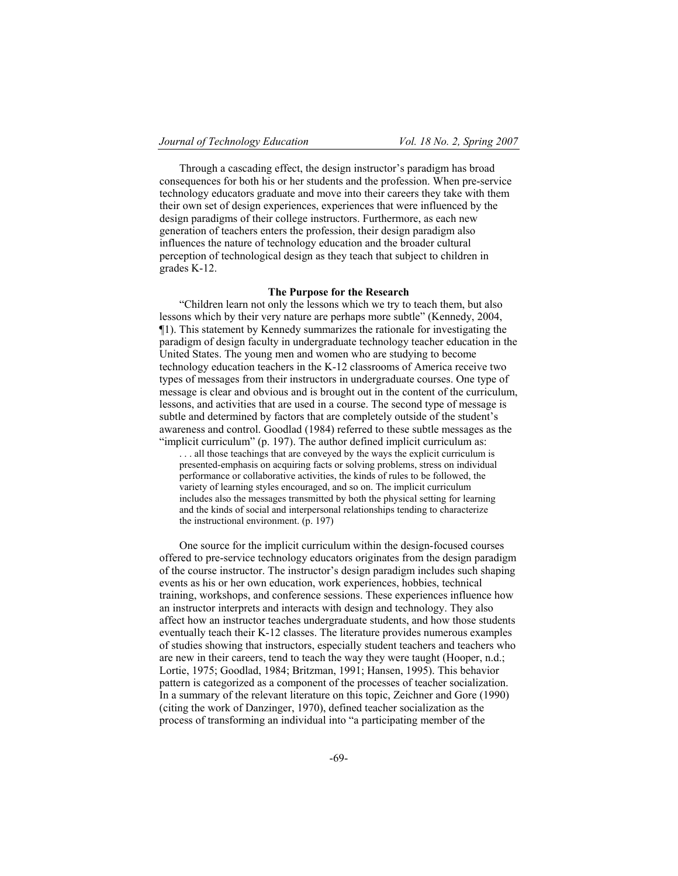Through a cascading effect, the design instructor's paradigm has broad consequences for both his or her students and the profession. When pre-service technology educators graduate and move into their careers they take with them their own set of design experiences, experiences that were influenced by the design paradigms of their college instructors. Furthermore, as each new generation of teachers enters the profession, their design paradigm also influences the nature of technology education and the broader cultural perception of technological design as they teach that subject to children in grades K-12.

# **The Purpose for the Research**

"Children learn not only the lessons which we try to teach them, but also lessons which by their very nature are perhaps more subtle" (Kennedy, 2004, ¶1). This statement by Kennedy summarizes the rationale for investigating the paradigm of design faculty in undergraduate technology teacher education in the United States. The young men and women who are studying to become technology education teachers in the K-12 classrooms of America receive two types of messages from their instructors in undergraduate courses. One type of message is clear and obvious and is brought out in the content of the curriculum, lessons, and activities that are used in a course. The second type of message is subtle and determined by factors that are completely outside of the student's awareness and control. Goodlad (1984) referred to these subtle messages as the "implicit curriculum" (p. 197). The author defined implicit curriculum as: .. all those teachings that are conveyed by the ways the explicit curriculum is

presented-emphasis on acquiring facts or solving problems, stress on individual performance or collaborative activities, the kinds of rules to be followed, the variety of learning styles encouraged, and so on. The implicit curriculum includes also the messages transmitted by both the physical setting for learning and the kinds of social and interpersonal relationships tending to characterize the instructional environment. (p. 197)

One source for the implicit curriculum within the design-focused courses offered to pre-service technology educators originates from the design paradigm of the course instructor. The instructor's design paradigm includes such shaping events as his or her own education, work experiences, hobbies, technical training, workshops, and conference sessions. These experiences influence how an instructor interprets and interacts with design and technology. They also affect how an instructor teaches undergraduate students, and how those students eventually teach their K-12 classes. The literature provides numerous examples of studies showing that instructors, especially student teachers and teachers who are new in their careers, tend to teach the way they were taught (Hooper, n.d.; Lortie, 1975; Goodlad, 1984; Britzman, 1991; Hansen, 1995). This behavior pattern is categorized as a component of the processes of teacher socialization. In a summary of the relevant literature on this topic, Zeichner and Gore (1990) (citing the work of Danzinger, 1970), defined teacher socialization as the process of transforming an individual into "a participating member of the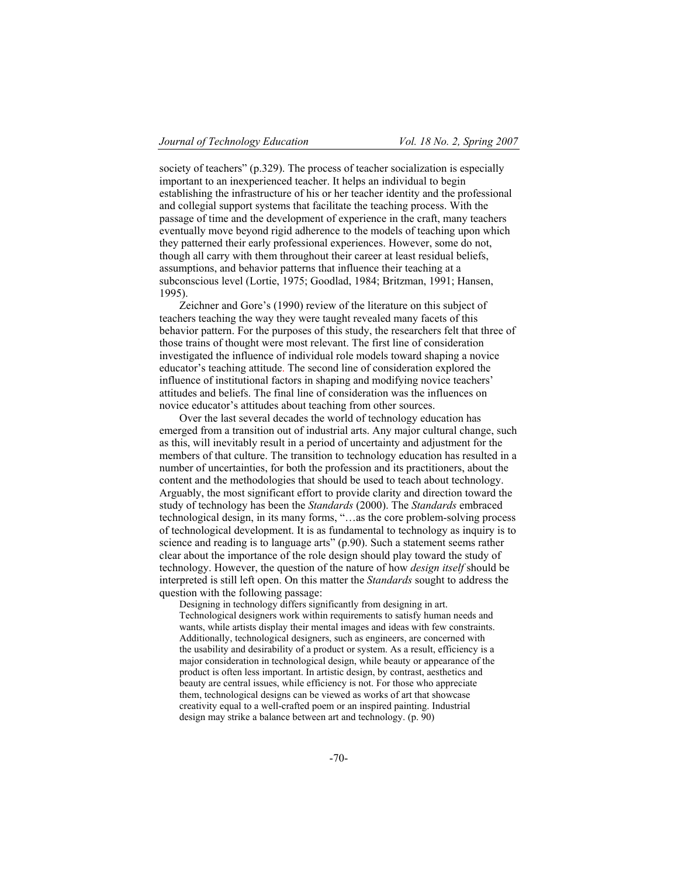society of teachers" (p.329). The process of teacher socialization is especially important to an inexperienced teacher. It helps an individual to begin establishing the infrastructure of his or her teacher identity and the professional and collegial support systems that facilitate the teaching process. With the passage of time and the development of experience in the craft, many teachers eventually move beyond rigid adherence to the models of teaching upon which they patterned their early professional experiences. However, some do not, though all carry with them throughout their career at least residual beliefs, assumptions, and behavior patterns that influence their teaching at a subconscious level (Lortie, 1975; Goodlad, 1984; Britzman, 1991; Hansen, 1995).

Zeichner and Gore's (1990) review of the literature on this subject of teachers teaching the way they were taught revealed many facets of this behavior pattern. For the purposes of this study, the researchers felt that three of those trains of thought were most relevant. The first line of consideration investigated the influence of individual role models toward shaping a novice educator's teaching attitude. The second line of consideration explored the influence of institutional factors in shaping and modifying novice teachers' attitudes and beliefs. The final line of consideration was the influences on novice educator's attitudes about teaching from other sources.

Over the last several decades the world of technology education has emerged from a transition out of industrial arts. Any major cultural change, such as this, will inevitably result in a period of uncertainty and adjustment for the members of that culture. The transition to technology education has resulted in a number of uncertainties, for both the profession and its practitioners, about the content and the methodologies that should be used to teach about technology. Arguably, the most significant effort to provide clarity and direction toward the study of technology has been the *Standards* (2000). The *Standards* embraced technological design, in its many forms, "…as the core problem-solving process of technological development. It is as fundamental to technology as inquiry is to science and reading is to language arts" (p.90). Such a statement seems rather clear about the importance of the role design should play toward the study of technology. However, the question of the nature of how *design itself* should be interpreted is still left open. On this matter the *Standards* sought to address the question with the following passage:

Designing in technology differs significantly from designing in art. Technological designers work within requirements to satisfy human needs and wants, while artists display their mental images and ideas with few constraints. Additionally, technological designers, such as engineers, are concerned with the usability and desirability of a product or system. As a result, efficiency is a major consideration in technological design, while beauty or appearance of the product is often less important. In artistic design, by contrast, aesthetics and beauty are central issues, while efficiency is not. For those who appreciate them, technological designs can be viewed as works of art that showcase creativity equal to a well-crafted poem or an inspired painting. Industrial design may strike a balance between art and technology. (p. 90)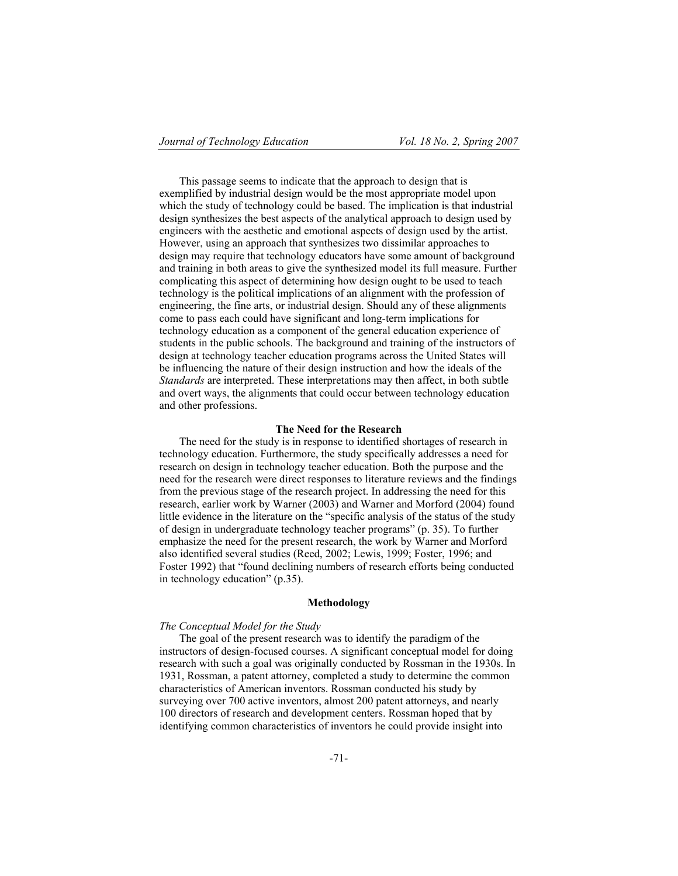This passage seems to indicate that the approach to design that is exemplified by industrial design would be the most appropriate model upon which the study of technology could be based. The implication is that industrial design synthesizes the best aspects of the analytical approach to design used by engineers with the aesthetic and emotional aspects of design used by the artist. However, using an approach that synthesizes two dissimilar approaches to design may require that technology educators have some amount of background and training in both areas to give the synthesized model its full measure. Further complicating this aspect of determining how design ought to be used to teach technology is the political implications of an alignment with the profession of engineering, the fine arts, or industrial design. Should any of these alignments come to pass each could have significant and long-term implications for technology education as a component of the general education experience of students in the public schools. The background and training of the instructors of design at technology teacher education programs across the United States will be influencing the nature of their design instruction and how the ideals of the *Standards* are interpreted. These interpretations may then affect, in both subtle and overt ways, the alignments that could occur between technology education and other professions.

#### **The Need for the Research**

The need for the study is in response to identified shortages of research in technology education. Furthermore, the study specifically addresses a need for research on design in technology teacher education. Both the purpose and the need for the research were direct responses to literature reviews and the findings from the previous stage of the research project. In addressing the need for this research, earlier work by Warner (2003) and Warner and Morford (2004) found little evidence in the literature on the "specific analysis of the status of the study of design in undergraduate technology teacher programs" (p. 35). To further emphasize the need for the present research, the work by Warner and Morford also identified several studies (Reed, 2002; Lewis, 1999; Foster, 1996; and Foster 1992) that "found declining numbers of research efforts being conducted in technology education" (p.35).

# **Methodology**

#### *The Conceptual Model for the Study*

The goal of the present research was to identify the paradigm of the instructors of design-focused courses. A significant conceptual model for doing research with such a goal was originally conducted by Rossman in the 1930s. In 1931, Rossman, a patent attorney, completed a study to determine the common characteristics of American inventors. Rossman conducted his study by surveying over 700 active inventors, almost 200 patent attorneys, and nearly 100 directors of research and development centers. Rossman hoped that by identifying common characteristics of inventors he could provide insight into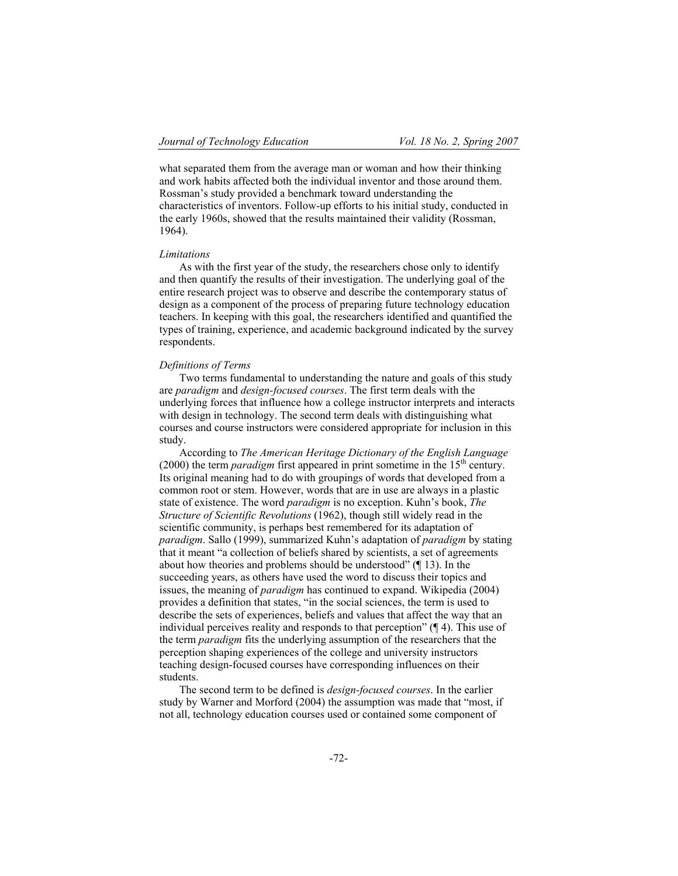what separated them from the average man or woman and how their thinking and work habits affected both the individual inventor and those around them. Rossman's study provided a benchmark toward understanding the characteristics of inventors. Follow-up efforts to his initial study, conducted in the early 1960s, showed that the results maintained their validity (Rossman, 1964).

# *Limitations*

As with the first year of the study, the researchers chose only to identify and then quantify the results of their investigation. The underlying goal of the entire research project was to observe and describe the contemporary status of design as a component of the process of preparing future technology education teachers. In keeping with this goal, the researchers identified and quantified the types of training, experience, and academic background indicated by the survey respondents.

# *Definitions of Terms*

Two terms fundamental to understanding the nature and goals of this study are *paradigm* and *design-focused courses*. The first term deals with the underlying forces that influence how a college instructor interprets and interacts with design in technology. The second term deals with distinguishing what courses and course instructors were considered appropriate for inclusion in this study.

According to *The American Heritage Dictionary of the English Language*  $(2000)$  the term *paradigm* first appeared in print sometime in the 15<sup>th</sup> century. Its original meaning had to do with groupings of words that developed from a common root or stem. However, words that are in use are always in a plastic state of existence. The word *paradigm* is no exception. Kuhn's book, *The Structure of Scientific Revolutions* (1962), though still widely read in the scientific community, is perhaps best remembered for its adaptation of *paradigm*. Sallo (1999), summarized Kuhn's adaptation of *paradigm* by stating that it meant "a collection of beliefs shared by scientists, a set of agreements about how theories and problems should be understood" (¶ 13). In the succeeding years, as others have used the word to discuss their topics and issues, the meaning of *paradigm* has continued to expand. Wikipedia (2004) provides a definition that states, "in the social sciences, the term is used to describe the sets of experiences, beliefs and values that affect the way that an individual perceives reality and responds to that perception" (¶ 4). This use of the term *paradigm* fits the underlying assumption of the researchers that the perception shaping experiences of the college and university instructors teaching design-focused courses have corresponding influences on their students.

The second term to be defined is *design-focused courses*. In the earlier study by Warner and Morford (2004) the assumption was made that "most, if not all, technology education courses used or contained some component of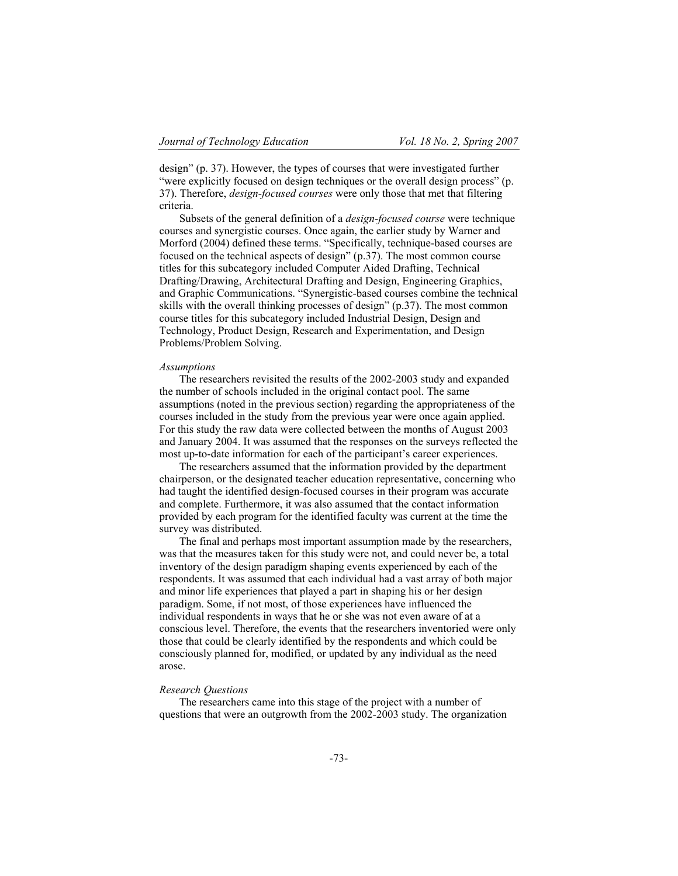design" (p. 37). However, the types of courses that were investigated further "were explicitly focused on design techniques or the overall design process" (p. 37). Therefore, *design-focused courses* were only those that met that filtering criteria.

Subsets of the general definition of a *design-focused course* were technique courses and synergistic courses. Once again, the earlier study by Warner and Morford (2004) defined these terms. "Specifically, technique-based courses are focused on the technical aspects of design" (p.37). The most common course titles for this subcategory included Computer Aided Drafting, Technical Drafting/Drawing, Architectural Drafting and Design, Engineering Graphics, and Graphic Communications. "Synergistic-based courses combine the technical skills with the overall thinking processes of design" (p.37). The most common course titles for this subcategory included Industrial Design, Design and Technology, Product Design, Research and Experimentation, and Design Problems/Problem Solving.

#### *Assumptions*

The researchers revisited the results of the 2002-2003 study and expanded the number of schools included in the original contact pool. The same assumptions (noted in the previous section) regarding the appropriateness of the courses included in the study from the previous year were once again applied. For this study the raw data were collected between the months of August 2003 and January 2004. It was assumed that the responses on the surveys reflected the most up-to-date information for each of the participant's career experiences.

The researchers assumed that the information provided by the department chairperson, or the designated teacher education representative, concerning who had taught the identified design-focused courses in their program was accurate and complete. Furthermore, it was also assumed that the contact information provided by each program for the identified faculty was current at the time the survey was distributed.

The final and perhaps most important assumption made by the researchers, was that the measures taken for this study were not, and could never be, a total inventory of the design paradigm shaping events experienced by each of the respondents. It was assumed that each individual had a vast array of both major and minor life experiences that played a part in shaping his or her design paradigm. Some, if not most, of those experiences have influenced the individual respondents in ways that he or she was not even aware of at a conscious level. Therefore, the events that the researchers inventoried were only those that could be clearly identified by the respondents and which could be consciously planned for, modified, or updated by any individual as the need arose.

# *Research Questions*

The researchers came into this stage of the project with a number of questions that were an outgrowth from the 2002-2003 study. The organization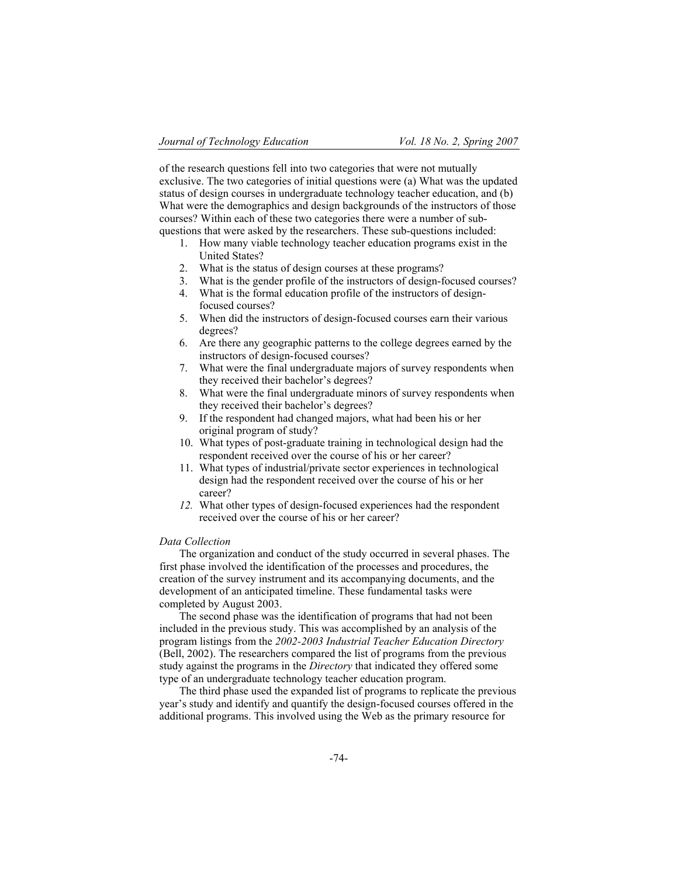of the research questions fell into two categories that were not mutually exclusive. The two categories of initial questions were (a) What was the updated status of design courses in undergraduate technology teacher education, and (b) What were the demographics and design backgrounds of the instructors of those courses? Within each of these two categories there were a number of subquestions that were asked by the researchers. These sub-questions included:

- 1. How many viable technology teacher education programs exist in the United States?
- 2. What is the status of design courses at these programs?
- 3. What is the gender profile of the instructors of design-focused courses?
- 4. What is the formal education profile of the instructors of designfocused courses?
- 5. When did the instructors of design-focused courses earn their various degrees?
- 6. Are there any geographic patterns to the college degrees earned by the instructors of design-focused courses?
- 7. What were the final undergraduate majors of survey respondents when they received their bachelor's degrees?
- 8. What were the final undergraduate minors of survey respondents when they received their bachelor's degrees?
- 9. If the respondent had changed majors, what had been his or her original program of study?
- 10. What types of post-graduate training in technological design had the respondent received over the course of his or her career?
- 11. What types of industrial/private sector experiences in technological design had the respondent received over the course of his or her career?
- *12.* What other types of design-focused experiences had the respondent received over the course of his or her career?

# *Data Collection*

The organization and conduct of the study occurred in several phases. The first phase involved the identification of the processes and procedures, the creation of the survey instrument and its accompanying documents, and the development of an anticipated timeline. These fundamental tasks were completed by August 2003.

The second phase was the identification of programs that had not been included in the previous study. This was accomplished by an analysis of the program listings from the *2002-2003 Industrial Teacher Education Directory* (Bell, 2002). The researchers compared the list of programs from the previous study against the programs in the *Directory* that indicated they offered some type of an undergraduate technology teacher education program.

The third phase used the expanded list of programs to replicate the previous year's study and identify and quantify the design-focused courses offered in the additional programs. This involved using the Web as the primary resource for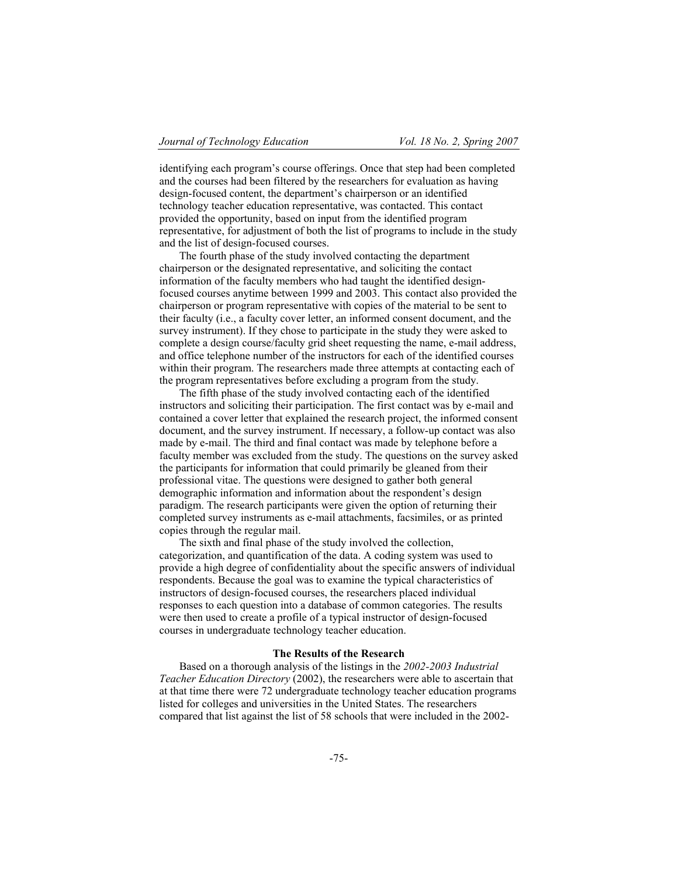identifying each program's course offerings. Once that step had been completed and the courses had been filtered by the researchers for evaluation as having design-focused content, the department's chairperson or an identified technology teacher education representative, was contacted. This contact provided the opportunity, based on input from the identified program representative, for adjustment of both the list of programs to include in the study and the list of design-focused courses.

The fourth phase of the study involved contacting the department chairperson or the designated representative, and soliciting the contact information of the faculty members who had taught the identified designfocused courses anytime between 1999 and 2003. This contact also provided the chairperson or program representative with copies of the material to be sent to their faculty (i.e., a faculty cover letter, an informed consent document, and the survey instrument). If they chose to participate in the study they were asked to complete a design course/faculty grid sheet requesting the name, e-mail address, and office telephone number of the instructors for each of the identified courses within their program. The researchers made three attempts at contacting each of the program representatives before excluding a program from the study.

The fifth phase of the study involved contacting each of the identified instructors and soliciting their participation. The first contact was by e-mail and contained a cover letter that explained the research project, the informed consent document, and the survey instrument. If necessary, a follow-up contact was also made by e-mail. The third and final contact was made by telephone before a faculty member was excluded from the study. The questions on the survey asked the participants for information that could primarily be gleaned from their professional vitae. The questions were designed to gather both general demographic information and information about the respondent's design paradigm. The research participants were given the option of returning their completed survey instruments as e-mail attachments, facsimiles, or as printed copies through the regular mail.

The sixth and final phase of the study involved the collection, categorization, and quantification of the data. A coding system was used to provide a high degree of confidentiality about the specific answers of individual respondents. Because the goal was to examine the typical characteristics of instructors of design-focused courses, the researchers placed individual responses to each question into a database of common categories. The results were then used to create a profile of a typical instructor of design-focused courses in undergraduate technology teacher education.

### **The Results of the Research**

Based on a thorough analysis of the listings in the *2002-2003 Industrial Teacher Education Directory* (2002), the researchers were able to ascertain that at that time there were 72 undergraduate technology teacher education programs listed for colleges and universities in the United States. The researchers compared that list against the list of 58 schools that were included in the 2002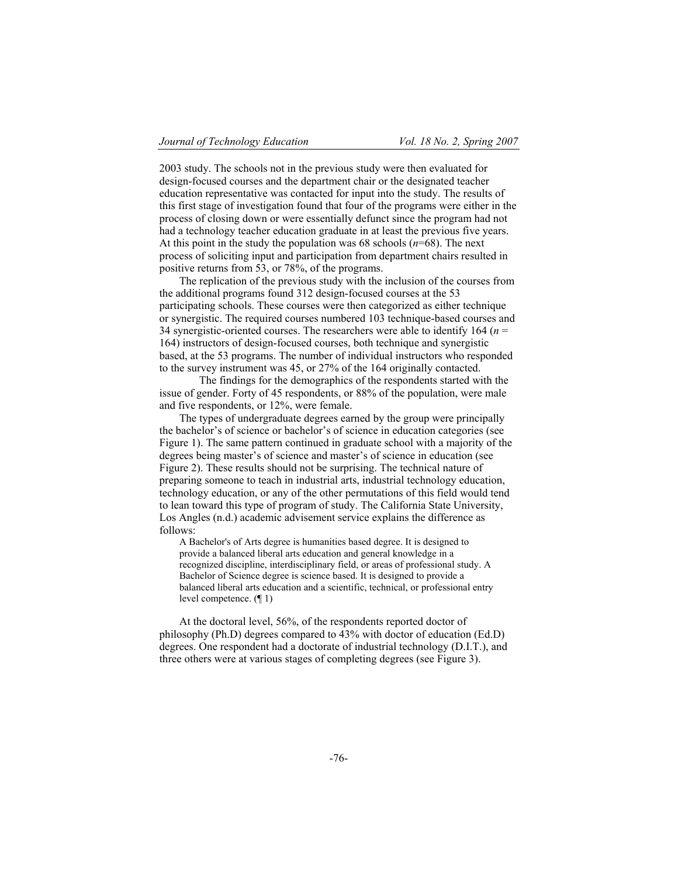2003 study. The schools not in the previous study were then evaluated for design-focused courses and the department chair or the designated teacher education representative was contacted for input into the study. The results of this first stage of investigation found that four of the programs were either in the process of closing down or were essentially defunct since the program had not had a technology teacher education graduate in at least the previous five years. At this point in the study the population was 68 schools (*n*=68). The next process of soliciting input and participation from department chairs resulted in positive returns from 53, or 78%, of the programs.

The replication of the previous study with the inclusion of the courses from the additional programs found 312 design-focused courses at the 53 participating schools. These courses were then categorized as either technique or synergistic. The required courses numbered 103 technique-based courses and 34 synergistic-oriented courses. The researchers were able to identify 164 (*n* = 164) instructors of design-focused courses, both technique and synergistic based, at the 53 programs. The number of individual instructors who responded to the survey instrument was 45, or 27% of the 164 originally contacted.

The findings for the demographics of the respondents started with the issue of gender. Forty of 45 respondents, or 88% of the population, were male and five respondents, or 12%, were female.

The types of undergraduate degrees earned by the group were principally the bachelor's of science or bachelor's of science in education categories (see Figure 1). The same pattern continued in graduate school with a majority of the degrees being master's of science and master's of science in education (see Figure 2). These results should not be surprising. The technical nature of preparing someone to teach in industrial arts, industrial technology education, technology education, or any of the other permutations of this field would tend to lean toward this type of program of study. The California State University, Los Angles (n.d.) academic advisement service explains the difference as follows:

A Bachelor's of Arts degree is humanities based degree. It is designed to provide a balanced liberal arts education and general knowledge in a recognized discipline, interdisciplinary field, or areas of professional study. A Bachelor of Science degree is science based. It is designed to provide a balanced liberal arts education and a scientific, technical, or professional entry level competence. (¶ 1)

At the doctoral level, 56%, of the respondents reported doctor of philosophy (Ph.D) degrees compared to 43% with doctor of education (Ed.D) degrees. One respondent had a doctorate of industrial technology (D.I.T.), and three others were at various stages of completing degrees (see Figure 3).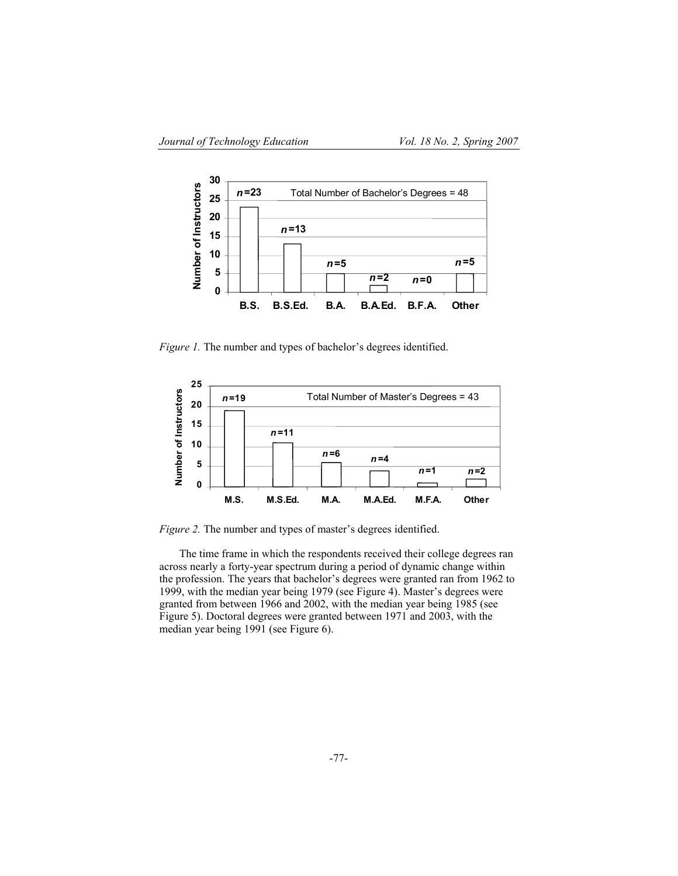

*Figure 1.* The number and types of bachelor's degrees identified.



*Figure 2.* The number and types of master's degrees identified.

The time frame in which the respondents received their college degrees ran across nearly a forty-year spectrum during a period of dynamic change within the profession. The years that bachelor's degrees were granted ran from 1962 to 1999, with the median year being 1979 (see Figure 4). Master's degrees were granted from between 1966 and 2002, with the median year being 1985 (see Figure 5). Doctoral degrees were granted between 1971 and 2003, with the median year being 1991 (see Figure 6).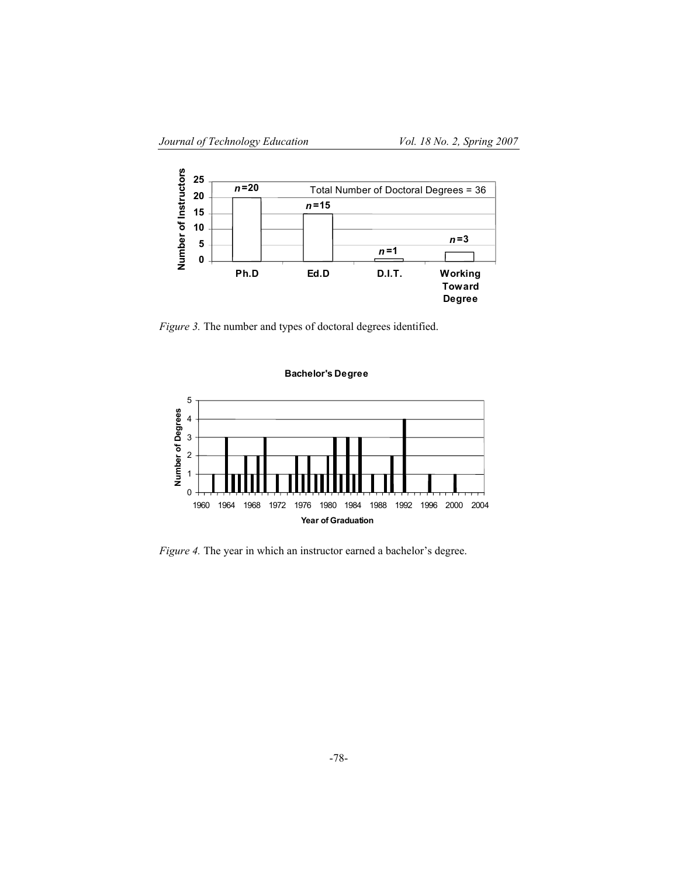

*Figure 3.* The number and types of doctoral degrees identified.





*Figure 4.* The year in which an instructor earned a bachelor's degree.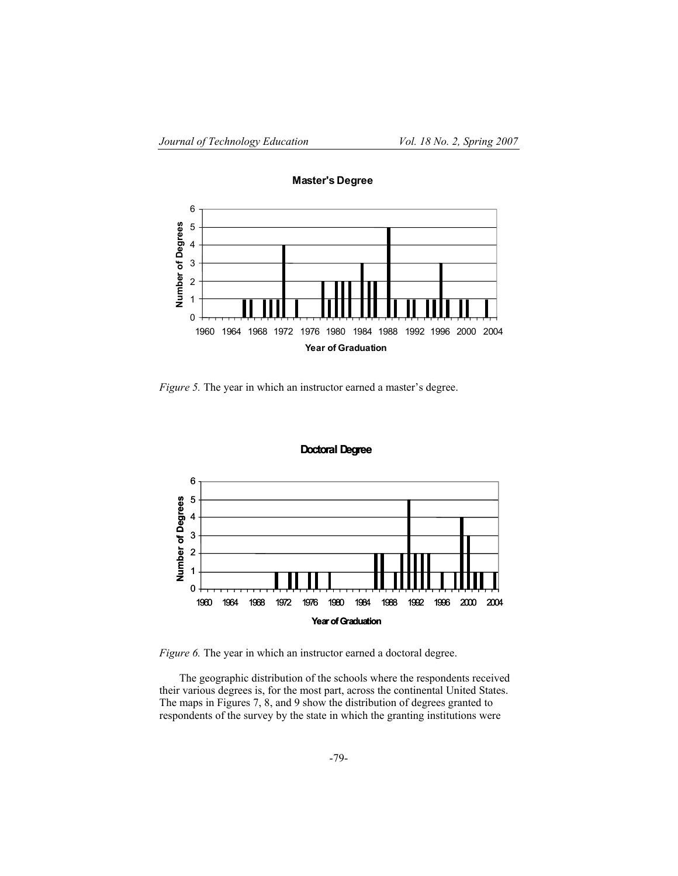

**Master's Degree**

*Figure 5.* The year in which an instructor earned a master's degree.





*Figure 6.* The year in which an instructor earned a doctoral degree.

The geographic distribution of the schools where the respondents received their various degrees is, for the most part, across the continental United States. The maps in Figures 7, 8, and 9 show the distribution of degrees granted to respondents of the survey by the state in which the granting institutions were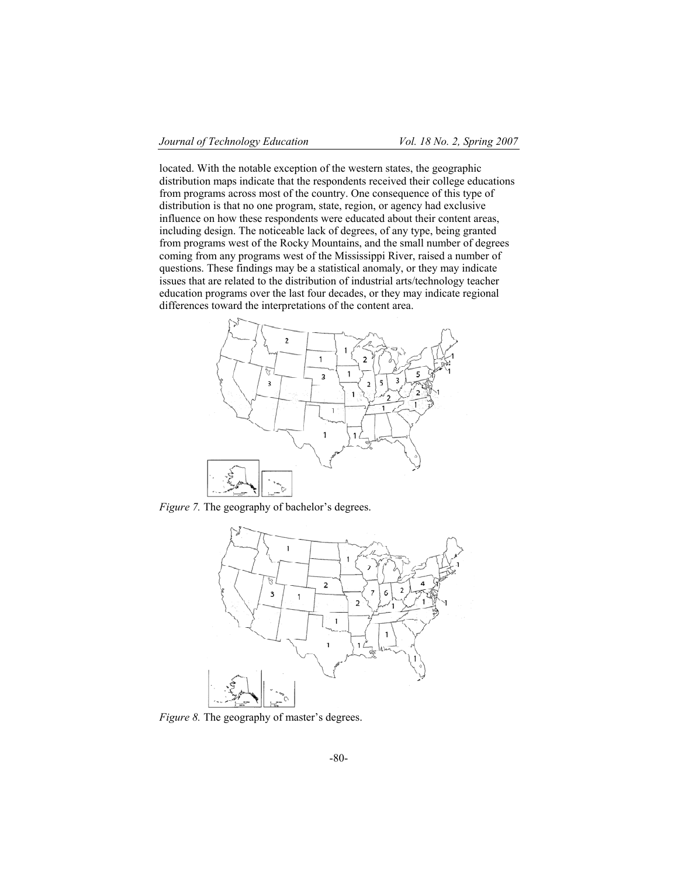located. With the notable exception of the western states, the geographic distribution maps indicate that the respondents received their college educations from programs across most of the country. One consequence of this type of distribution is that no one program, state, region, or agency had exclusive influence on how these respondents were educated about their content areas, including design. The noticeable lack of degrees, of any type, being granted from programs west of the Rocky Mountains, and the small number of degrees coming from any programs west of the Mississippi River, raised a number of questions. These findings may be a statistical anomaly, or they may indicate issues that are related to the distribution of industrial arts/technology teacher education programs over the last four decades, or they may indicate regional differences toward the interpretations of the content area.



*Figure 7.* The geography of bachelor's degrees.



*Figure 8.* The geography of master's degrees.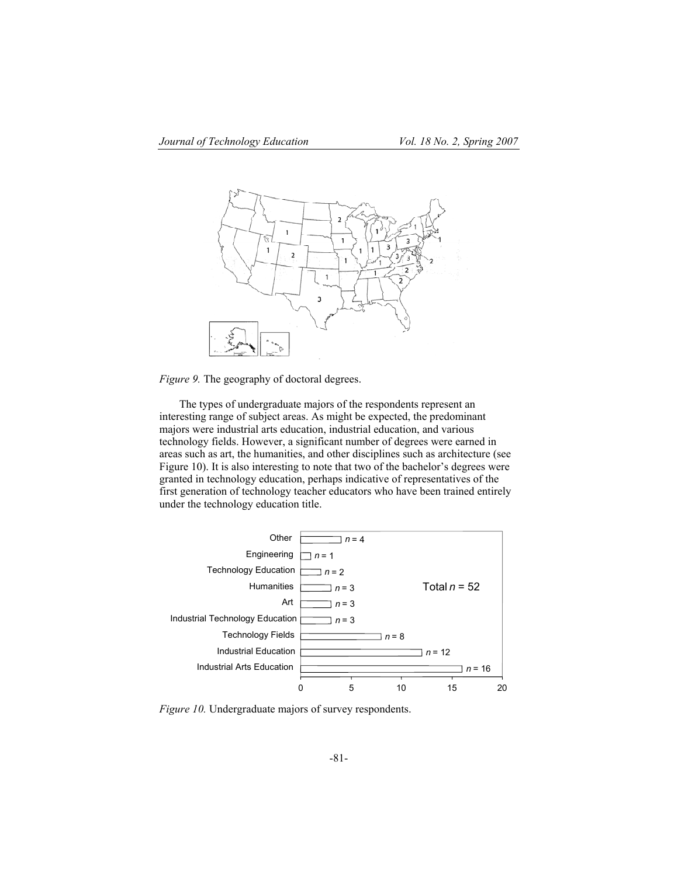

*Figure 9.* The geography of doctoral degrees.

The types of undergraduate majors of the respondents represent an interesting range of subject areas. As might be expected, the predominant majors were industrial arts education, industrial education, and various technology fields. However, a significant number of degrees were earned in areas such as art, the humanities, and other disciplines such as architecture (see Figure 10). It is also interesting to note that two of the bachelor's degrees were granted in technology education, perhaps indicative of representatives of the first generation of technology teacher educators who have been trained entirely under the technology education title.



*Figure 10.* Undergraduate majors of survey respondents.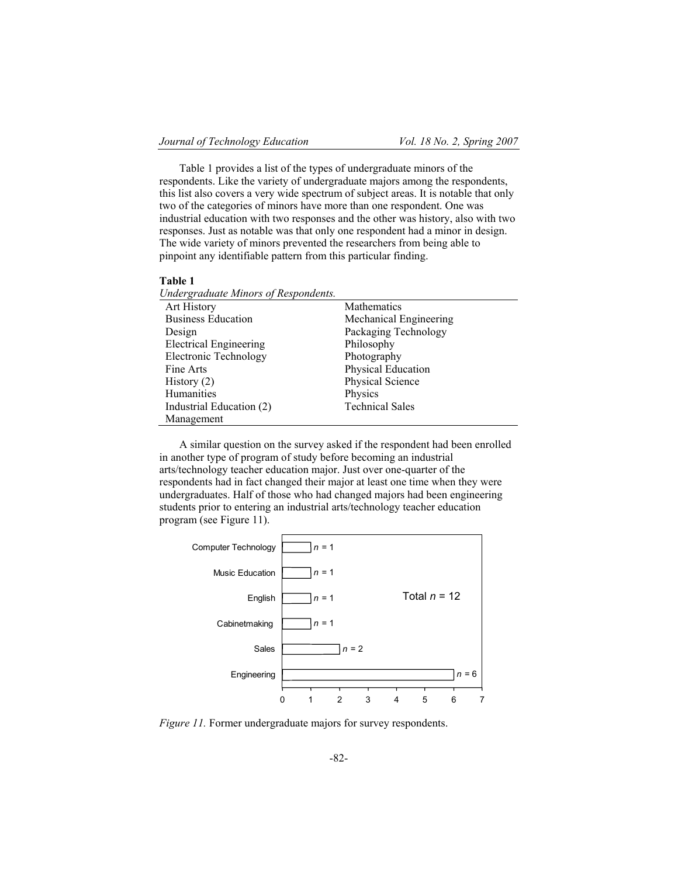Table 1 provides a list of the types of undergraduate minors of the respondents. Like the variety of undergraduate majors among the respondents, this list also covers a very wide spectrum of subject areas. It is notable that only two of the categories of minors have more than one respondent. One was industrial education with two responses and the other was history, also with two responses. Just as notable was that only one respondent had a minor in design. The wide variety of minors prevented the researchers from being able to pinpoint any identifiable pattern from this particular finding.

#### **Table 1**

| Undergraduate Minors of Respondents. |                        |
|--------------------------------------|------------------------|
| Art History                          | <b>Mathematics</b>     |
| <b>Business Education</b>            | Mechanical Engineering |
| Design                               | Packaging Technology   |
| <b>Electrical Engineering</b>        | Philosophy             |
| Electronic Technology                | Photography            |
| Fine Arts                            | Physical Education     |
| History $(2)$                        | Physical Science       |
| Humanities                           | Physics                |
| Industrial Education (2)             | <b>Technical Sales</b> |
| Management                           |                        |

A similar question on the survey asked if the respondent had been enrolled in another type of program of study before becoming an industrial arts/technology teacher education major. Just over one-quarter of the respondents had in fact changed their major at least one time when they were undergraduates. Half of those who had changed majors had been engineering students prior to entering an industrial arts/technology teacher education program (see Figure 11).



*Figure 11.* Former undergraduate majors for survey respondents.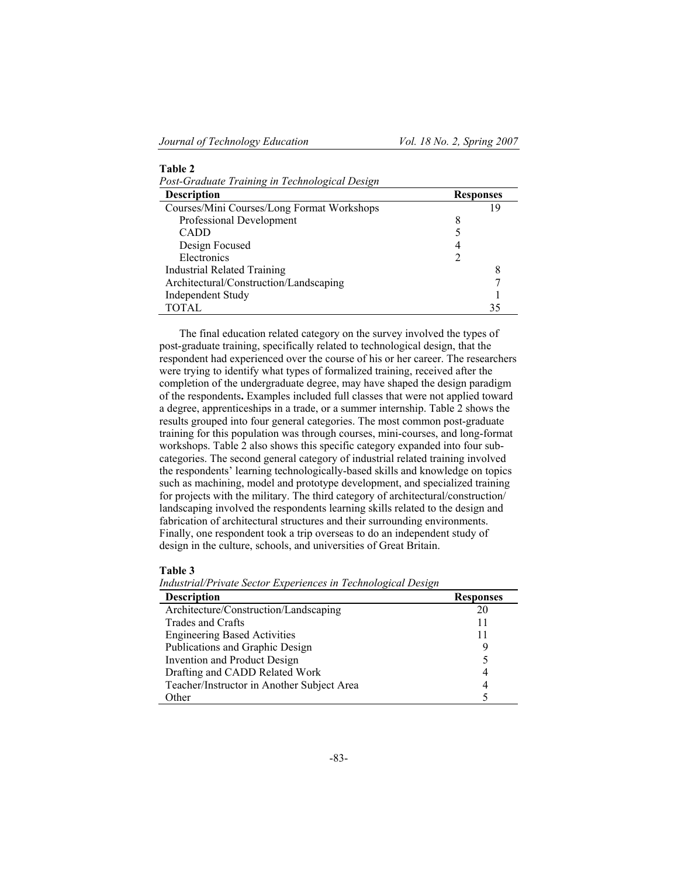| Table 2                                        |  |                  |  |  |
|------------------------------------------------|--|------------------|--|--|
| Post-Graduate Training in Technological Design |  |                  |  |  |
| <b>Description</b>                             |  | <b>Responses</b> |  |  |
| Courses/Mini Courses/Long Format Workshops     |  | 19               |  |  |
| Professional Development                       |  |                  |  |  |
| CADD                                           |  |                  |  |  |
| Design Focused                                 |  |                  |  |  |
| Electronics                                    |  |                  |  |  |
| <b>Industrial Related Training</b>             |  |                  |  |  |
| Architectural/Construction/Landscaping         |  |                  |  |  |
| Independent Study                              |  |                  |  |  |
| TOTAL                                          |  |                  |  |  |

The final education related category on the survey involved the types of post-graduate training, specifically related to technological design, that the respondent had experienced over the course of his or her career. The researchers were trying to identify what types of formalized training, received after the completion of the undergraduate degree, may have shaped the design paradigm of the respondents**.** Examples included full classes that were not applied toward a degree, apprenticeships in a trade, or a summer internship. Table 2 shows the results grouped into four general categories. The most common post-graduate training for this population was through courses, mini-courses, and long-format workshops. Table 2 also shows this specific category expanded into four subcategories. The second general category of industrial related training involved the respondents' learning technologically-based skills and knowledge on topics such as machining, model and prototype development, and specialized training for projects with the military. The third category of architectural/construction/ landscaping involved the respondents learning skills related to the design and fabrication of architectural structures and their surrounding environments. Finally, one respondent took a trip overseas to do an independent study of design in the culture, schools, and universities of Great Britain.

# **Table 3**

*Industrial/Private Sector Experiences in Technological Design*

| <b>Description</b>                         | <b>Responses</b> |
|--------------------------------------------|------------------|
| Architecture/Construction/Landscaping      | 20               |
| Trades and Crafts                          | 11               |
| <b>Engineering Based Activities</b>        | 11               |
| Publications and Graphic Design            | 9                |
| Invention and Product Design               |                  |
| Drafting and CADD Related Work             | 4                |
| Teacher/Instructor in Another Subject Area | 4                |
| Other                                      |                  |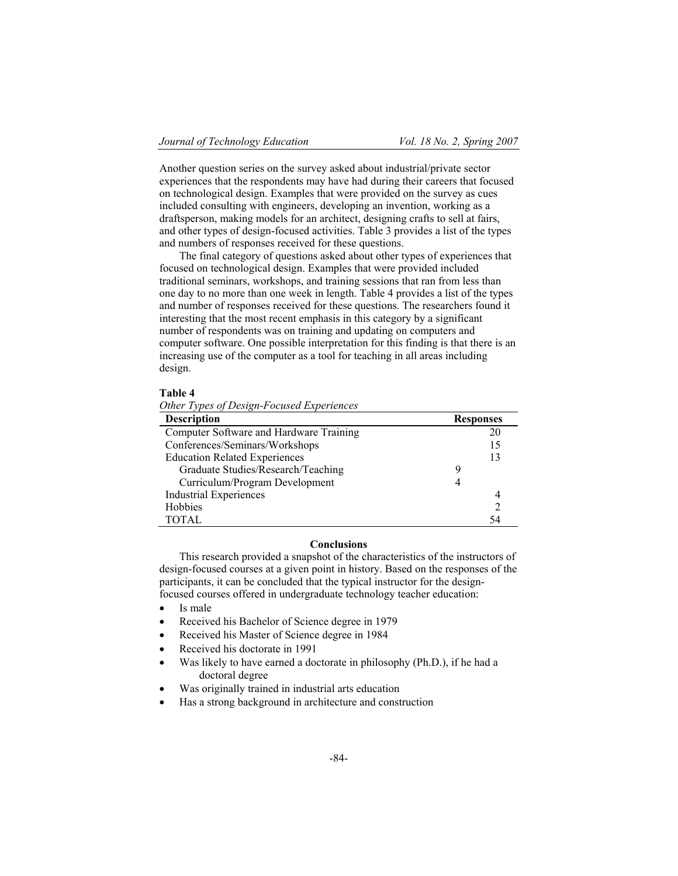Another question series on the survey asked about industrial/private sector experiences that the respondents may have had during their careers that focused on technological design. Examples that were provided on the survey as cues included consulting with engineers, developing an invention, working as a draftsperson, making models for an architect, designing crafts to sell at fairs, and other types of design-focused activities. Table 3 provides a list of the types and numbers of responses received for these questions.

The final category of questions asked about other types of experiences that focused on technological design. Examples that were provided included traditional seminars, workshops, and training sessions that ran from less than one day to no more than one week in length. Table 4 provides a list of the types and number of responses received for these questions. The researchers found it interesting that the most recent emphasis in this category by a significant number of respondents was on training and updating on computers and computer software. One possible interpretation for this finding is that there is an increasing use of the computer as a tool for teaching in all areas including design.

# **Table 4**

*Other Types of Design-Focused Experiences*

| <b>Description</b>                      | <b>Responses</b> |
|-----------------------------------------|------------------|
| Computer Software and Hardware Training | 20               |
| Conferences/Seminars/Workshops          | 15               |
| <b>Education Related Experiences</b>    | 13               |
| Graduate Studies/Research/Teaching      | g                |
| Curriculum/Program Development          |                  |
| <b>Industrial Experiences</b>           |                  |
| Hobbies                                 |                  |
| <b>TOTAL</b>                            | 54               |

# **Conclusions**

This research provided a snapshot of the characteristics of the instructors of design-focused courses at a given point in history. Based on the responses of the participants, it can be concluded that the typical instructor for the designfocused courses offered in undergraduate technology teacher education:

- Is male
- Received his Bachelor of Science degree in 1979
- Received his Master of Science degree in 1984
- Received his doctorate in 1991
- Was likely to have earned a doctorate in philosophy (Ph.D.), if he had a doctoral degree
- Was originally trained in industrial arts education
- ! Has a strong background in architecture and construction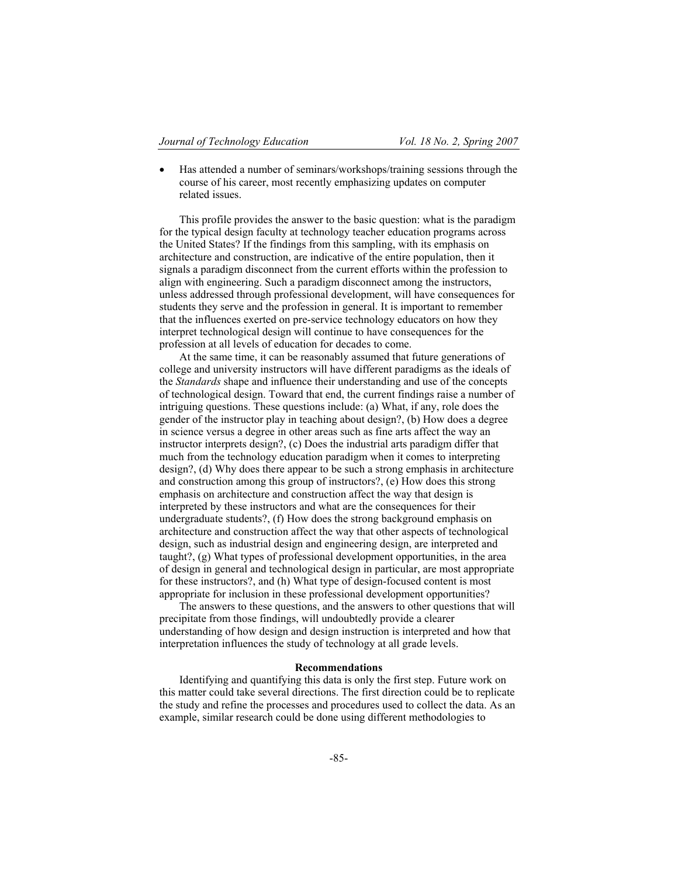! Has attended a number of seminars/workshops/training sessions through the course of his career, most recently emphasizing updates on computer related issues.

This profile provides the answer to the basic question: what is the paradigm for the typical design faculty at technology teacher education programs across the United States? If the findings from this sampling, with its emphasis on architecture and construction, are indicative of the entire population, then it signals a paradigm disconnect from the current efforts within the profession to align with engineering. Such a paradigm disconnect among the instructors, unless addressed through professional development, will have consequences for students they serve and the profession in general. It is important to remember that the influences exerted on pre-service technology educators on how they interpret technological design will continue to have consequences for the profession at all levels of education for decades to come.

At the same time, it can be reasonably assumed that future generations of college and university instructors will have different paradigms as the ideals of the *Standards* shape and influence their understanding and use of the concepts of technological design. Toward that end, the current findings raise a number of intriguing questions. These questions include: (a) What, if any, role does the gender of the instructor play in teaching about design?, (b) How does a degree in science versus a degree in other areas such as fine arts affect the way an instructor interprets design?, (c) Does the industrial arts paradigm differ that much from the technology education paradigm when it comes to interpreting design?, (d) Why does there appear to be such a strong emphasis in architecture and construction among this group of instructors?, (e) How does this strong emphasis on architecture and construction affect the way that design is interpreted by these instructors and what are the consequences for their undergraduate students?, (f) How does the strong background emphasis on architecture and construction affect the way that other aspects of technological design, such as industrial design and engineering design, are interpreted and taught?, (g) What types of professional development opportunities, in the area of design in general and technological design in particular, are most appropriate for these instructors?, and (h) What type of design-focused content is most appropriate for inclusion in these professional development opportunities?

The answers to these questions, and the answers to other questions that will precipitate from those findings, will undoubtedly provide a clearer understanding of how design and design instruction is interpreted and how that interpretation influences the study of technology at all grade levels.

#### **Recommendations**

Identifying and quantifying this data is only the first step. Future work on this matter could take several directions. The first direction could be to replicate the study and refine the processes and procedures used to collect the data. As an example, similar research could be done using different methodologies to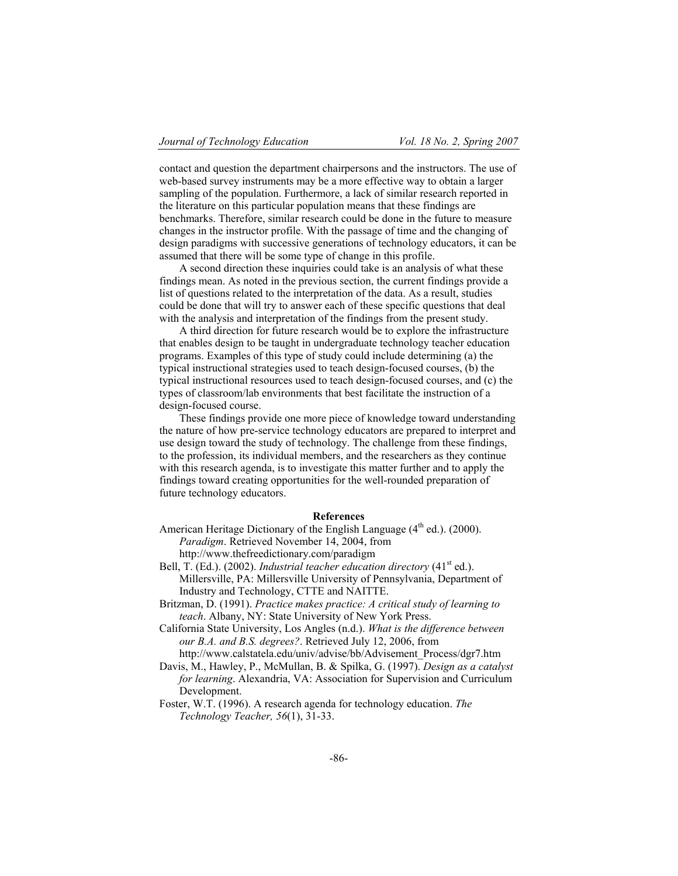contact and question the department chairpersons and the instructors. The use of web-based survey instruments may be a more effective way to obtain a larger sampling of the population. Furthermore, a lack of similar research reported in the literature on this particular population means that these findings are benchmarks. Therefore, similar research could be done in the future to measure changes in the instructor profile. With the passage of time and the changing of design paradigms with successive generations of technology educators, it can be assumed that there will be some type of change in this profile.

A second direction these inquiries could take is an analysis of what these findings mean. As noted in the previous section, the current findings provide a list of questions related to the interpretation of the data. As a result, studies could be done that will try to answer each of these specific questions that deal with the analysis and interpretation of the findings from the present study.

A third direction for future research would be to explore the infrastructure that enables design to be taught in undergraduate technology teacher education programs. Examples of this type of study could include determining (a) the typical instructional strategies used to teach design-focused courses, (b) the typical instructional resources used to teach design-focused courses, and (c) the types of classroom/lab environments that best facilitate the instruction of a design-focused course.

These findings provide one more piece of knowledge toward understanding the nature of how pre-service technology educators are prepared to interpret and use design toward the study of technology. The challenge from these findings, to the profession, its individual members, and the researchers as they continue with this research agenda, is to investigate this matter further and to apply the findings toward creating opportunities for the well-rounded preparation of future technology educators.

# **References**

American Heritage Dictionary of the English Language (4<sup>th</sup> ed.). (2000). *Paradigm*. Retrieved November 14, 2004, from

http://www.thefreedictionary.com/paradigm

- Bell, T. (Ed.). (2002). *Industrial teacher education directory* (41<sup>st</sup> ed.). Millersville, PA: Millersville University of Pennsylvania, Department of Industry and Technology, CTTE and NAITTE.
- Britzman, D. (1991). *Practice makes practice: A critical study of learning to teach*. Albany, NY: State University of New York Press.
- California State University, Los Angles (n.d.). *What is the difference between our B.A. and B.S. degrees?*. Retrieved July 12, 2006, from http://www.calstatela.edu/univ/advise/bb/Advisement\_Process/dgr7.htm
- Davis, M., Hawley, P., McMullan, B. & Spilka, G. (1997). *Design as a catalyst for learning*. Alexandria, VA: Association for Supervision and Curriculum Development.
- Foster, W.T. (1996). A research agenda for technology education. *The Technology Teacher, 56*(1), 31-33.